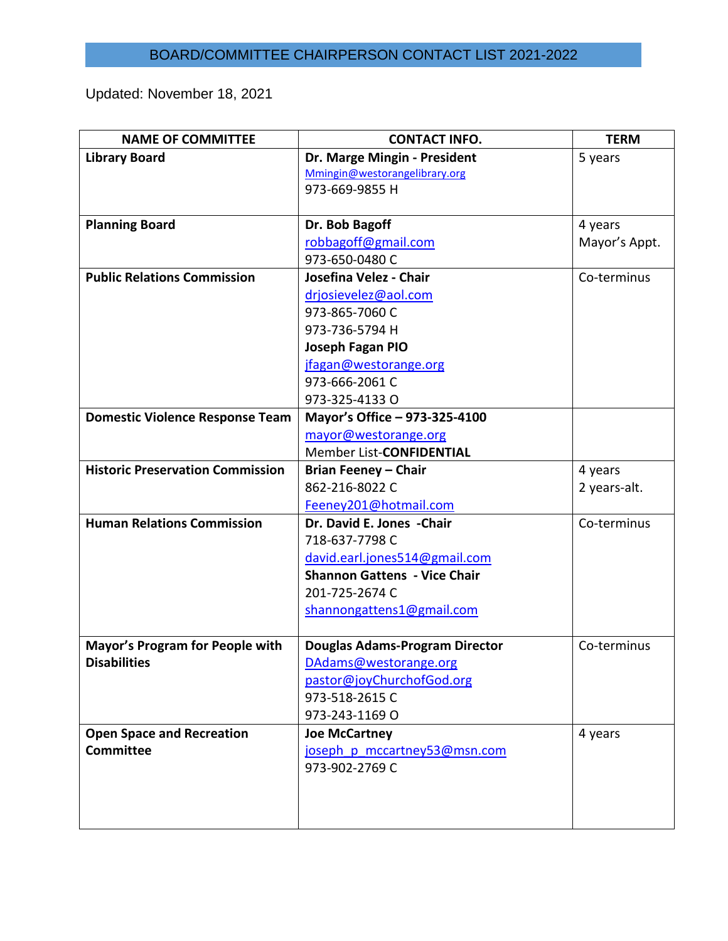## BOARD/COMMITTEE CHAIRPERSON CONTACT LIST 2021-2022

Updated: November 18, 2021

| <b>NAME OF COMMITTEE</b>                | <b>CONTACT INFO.</b>                  | <b>TERM</b>   |
|-----------------------------------------|---------------------------------------|---------------|
| <b>Library Board</b>                    | Dr. Marge Mingin - President          | 5 years       |
|                                         | Mmingin@westorangelibrary.org         |               |
|                                         | 973-669-9855 H                        |               |
|                                         |                                       |               |
| <b>Planning Board</b>                   | Dr. Bob Bagoff                        | 4 years       |
|                                         | robbagoff@gmail.com                   | Mayor's Appt. |
|                                         | 973-650-0480 C                        |               |
| <b>Public Relations Commission</b>      | Josefina Velez - Chair                | Co-terminus   |
|                                         | drjosievelez@aol.com                  |               |
|                                         | 973-865-7060 C                        |               |
|                                         | 973-736-5794 H                        |               |
|                                         | Joseph Fagan PIO                      |               |
|                                         | jfagan@westorange.org                 |               |
|                                         | 973-666-2061 C                        |               |
|                                         | 973-325-4133 O                        |               |
| <b>Domestic Violence Response Team</b>  | Mayor's Office - 973-325-4100         |               |
|                                         | mayor@westorange.org                  |               |
|                                         | Member List-CONFIDENTIAL              |               |
| <b>Historic Preservation Commission</b> | <b>Brian Feeney - Chair</b>           | 4 years       |
|                                         | 862-216-8022 C                        | 2 years-alt.  |
|                                         | Feeney201@hotmail.com                 |               |
| <b>Human Relations Commission</b>       | Dr. David E. Jones - Chair            | Co-terminus   |
|                                         | 718-637-7798 C                        |               |
|                                         | david.earl.jones514@gmail.com         |               |
|                                         | <b>Shannon Gattens - Vice Chair</b>   |               |
|                                         | 201-725-2674 C                        |               |
|                                         | shannongattens1@gmail.com             |               |
|                                         |                                       |               |
| <b>Mayor's Program for People with</b>  | <b>Douglas Adams-Program Director</b> | Co-terminus   |
| <b>Disabilities</b>                     | DAdams@westorange.org                 |               |
|                                         | pastor@joyChurchofGod.org             |               |
|                                         | 973-518-2615 C                        |               |
|                                         | 973-243-1169 O                        |               |
| <b>Open Space and Recreation</b>        | <b>Joe McCartney</b>                  | 4 years       |
| <b>Committee</b>                        | joseph p mccartney53@msn.com          |               |
|                                         | 973-902-2769 C                        |               |
|                                         |                                       |               |
|                                         |                                       |               |
|                                         |                                       |               |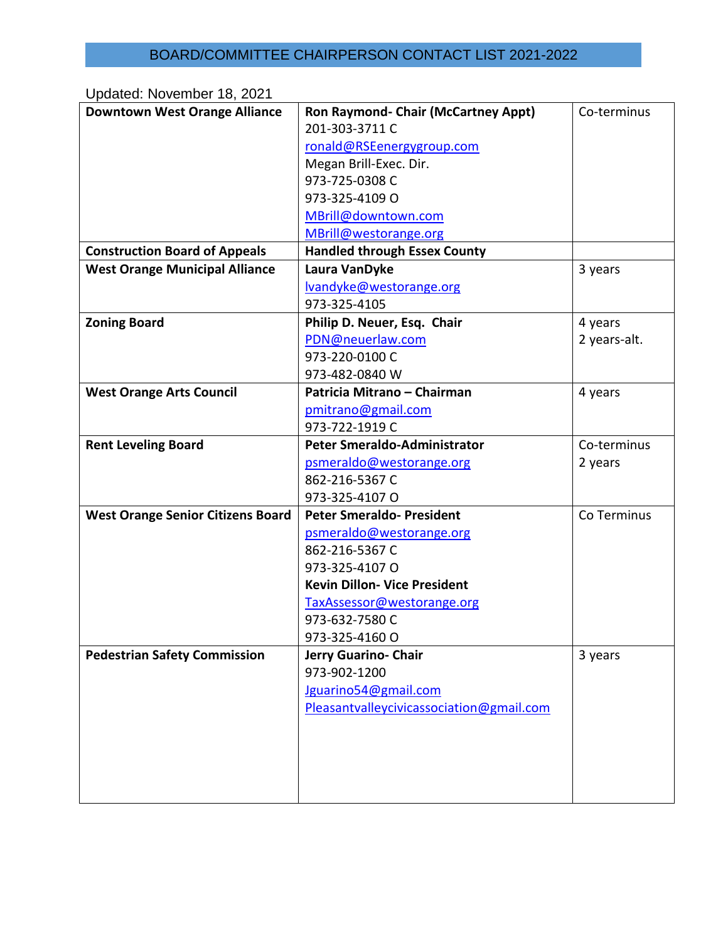## BOARD/COMMITTEE CHAIRPERSON CONTACT LIST 2021-2022

Updated: November 18, 2021 **Downtown West Orange Alliance | Ron Raymond- Chair (McCartney Appt)** 201-303-3711 C [ronald@RSEenergygroup.com](mailto:ronald@RSEenergygroup.com) Megan Brill-Exec. Dir. 973-725-0308 C 973-325-4109 O [MBrill@downtown.com](mailto:MBrill@downtown.com) [MBrill@westorange.org](mailto:MBrill@westorange.org) Co-terminus **Construction Board of Appeals Handled through Essex County West Orange Municipal Alliance Laura VanDyke** [lvandyke@westorange.org](mailto:lvandyke@westorange.org) 973-325-4105 3 years **Zoning Board Philip D. Neuer, Esq. Chair** [PDN@neuerlaw.com](mailto:PDN@neuerlaw.com) 973-220-0100 C 973-482-0840 W 4 years 2 years-alt. **West Orange Arts Council Patricia Mitrano – Chairman** [pmitrano@gmail.com](mailto:pmitrano@gmail.com) 973-722-1919 C 4 years **Rent Leveling Board Peter Smeraldo-Administrator** [psmeraldo@westorange.org](mailto:psmeraldo@westorange.org) 862-216-5367 C 973-325-4107 O Co-terminus 2 years **West Orange Senior Citizens Board** | Peter Smeraldo- President [psmeraldo@westorange.org](mailto:psmeraldo@westorange.org) 862-216-5367 C 973-325-4107 O **Kevin Dillon- Vice President** [TaxAssessor@westorange.org](mailto:TaxAssessor@westorange.org) 973-632-7580 C 973-325-4160 O Co Terminus **Pedestrian Safety Commission Jerry Guarino- Chair** 973-902-1200 [Jguarino54@gmail.com](mailto:Jguarino54@gmail.com) [Pleasantvalleycivicassociation@gmail.com](mailto:Pleasantvalleycivicassociation@gmail.com) 3 years